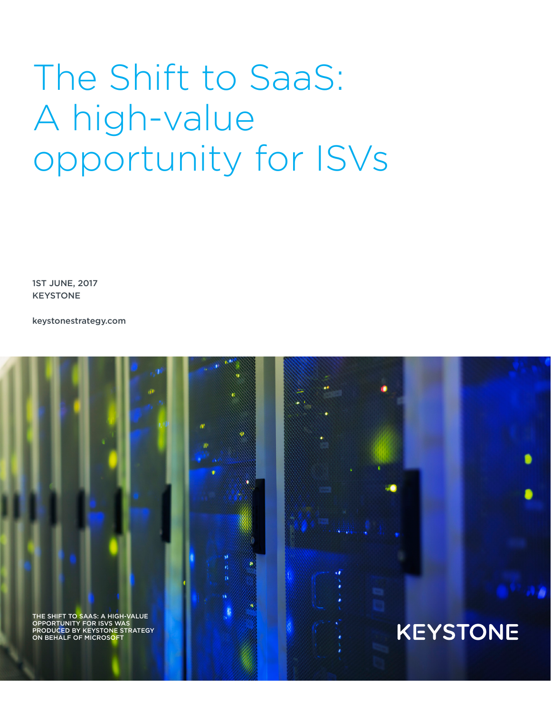# The Shift to SaaS: A high-value opportunity for ISVs

1ST JUNE, 2017 KEYSTONE

keystonestrategy.com

THE SHIFT TO SAAS: A HIGH-VALUE OPPORTUNITY FOR ISVS WAS PRODUCED BY KEYSTONE STRATEGY ON BEHALF OF MICROSOF

# **KEYSTONE**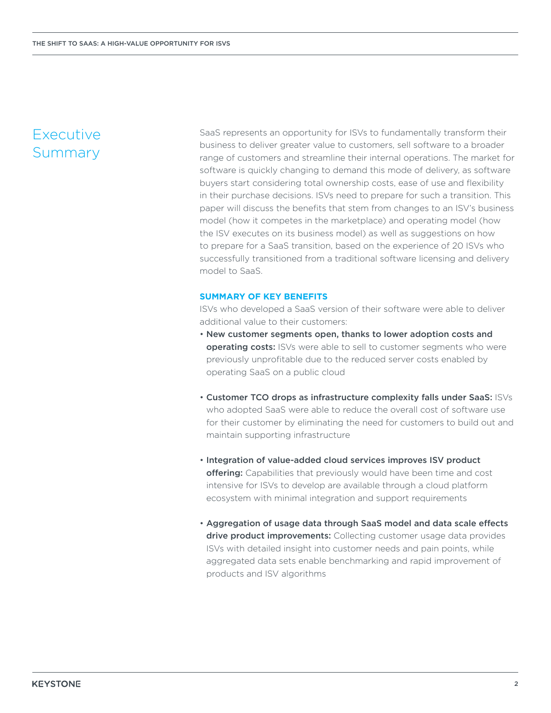# Executive Summary

SaaS represents an opportunity for ISVs to fundamentally transform their business to deliver greater value to customers, sell software to a broader range of customers and streamline their internal operations. The market for software is quickly changing to demand this mode of delivery, as software buyers start considering total ownership costs, ease of use and flexibility in their purchase decisions. ISVs need to prepare for such a transition. This paper will discuss the benefits that stem from changes to an ISV's business model (how it competes in the marketplace) and operating model (how the ISV executes on its business model) as well as suggestions on how to prepare for a SaaS transition, based on the experience of 20 ISVs who successfully transitioned from a traditional software licensing and delivery model to SaaS.

#### **SUMMARY OF KEY BENEFITS**

ISVs who developed a SaaS version of their software were able to deliver additional value to their customers:

- New customer segments open, thanks to lower adoption costs and **operating costs:** ISVs were able to sell to customer segments who were previously unprofitable due to the reduced server costs enabled by operating SaaS on a public cloud
- Customer TCO drops as infrastructure complexity falls under SaaS: ISVs who adopted SaaS were able to reduce the overall cost of software use for their customer by eliminating the need for customers to build out and maintain supporting infrastructure
- Integration of value-added cloud services improves ISV product offering: Capabilities that previously would have been time and cost intensive for ISVs to develop are available through a cloud platform ecosystem with minimal integration and support requirements
- Aggregation of usage data through SaaS model and data scale effects drive product improvements: Collecting customer usage data provides ISVs with detailed insight into customer needs and pain points, while aggregated data sets enable benchmarking and rapid improvement of products and ISV algorithms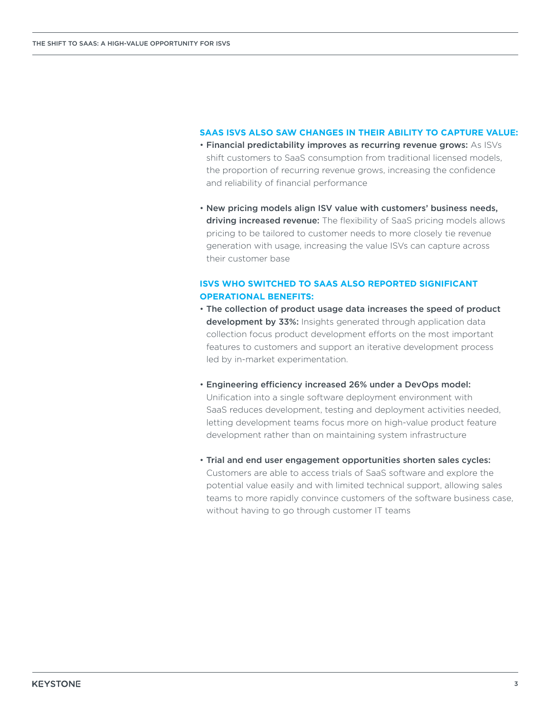#### **SAAS ISVS ALSO SAW CHANGES IN THEIR ABILITY TO CAPTURE VALUE:**

- Financial predictability improves as recurring revenue grows: As ISVs shift customers to SaaS consumption from traditional licensed models, the proportion of recurring revenue grows, increasing the confidence and reliability of financial performance
- New pricing models align ISV value with customers' business needs, driving increased revenue: The flexibility of SaaS pricing models allows pricing to be tailored to customer needs to more closely tie revenue generation with usage, increasing the value ISVs can capture across their customer base

#### **ISVS WHO SWITCHED TO SAAS ALSO REPORTED SIGNIFICANT OPERATIONAL BENEFITS:**

- The collection of product usage data increases the speed of product development by 33%: Insights generated through application data collection focus product development efforts on the most important features to customers and support an iterative development process led by in-market experimentation.
- Engineering efficiency increased 26% under a DevOps model: Unification into a single software deployment environment with SaaS reduces development, testing and deployment activities needed, letting development teams focus more on high-value product feature development rather than on maintaining system infrastructure
- Trial and end user engagement opportunities shorten sales cycles: Customers are able to access trials of SaaS software and explore the potential value easily and with limited technical support, allowing sales teams to more rapidly convince customers of the software business case, without having to go through customer IT teams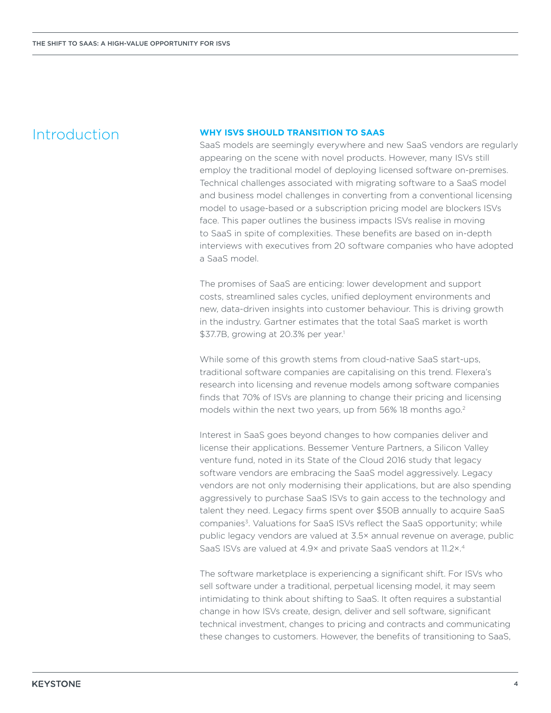## Introduction

#### **WHY ISVS SHOULD TRANSITION TO SAAS**

SaaS models are seemingly everywhere and new SaaS vendors are regularly appearing on the scene with novel products. However, many ISVs still employ the traditional model of deploying licensed software on-premises. Technical challenges associated with migrating software to a SaaS model and business model challenges in converting from a conventional licensing model to usage-based or a subscription pricing model are blockers ISVs face. This paper outlines the business impacts ISVs realise in moving to SaaS in spite of complexities. These benefits are based on in-depth interviews with executives from 20 software companies who have adopted a SaaS model.

The promises of SaaS are enticing: lower development and support costs, streamlined sales cycles, unified deployment environments and new, data-driven insights into customer behaviour. This is driving growth in the industry. Gartner estimates that the total SaaS market is worth \$37.7B, growing at 20.3% per year.<sup>1</sup>

While some of this growth stems from cloud-native SaaS start-ups, traditional software companies are capitalising on this trend. Flexera's research into licensing and revenue models among software companies finds that 70% of ISVs are planning to change their pricing and licensing models within the next two years, up from 56% 18 months ago.<sup>2</sup>

Interest in SaaS goes beyond changes to how companies deliver and license their applications. Bessemer Venture Partners, a Silicon Valley venture fund, noted in its State of the Cloud 2016 study that legacy software vendors are embracing the SaaS model aggressively. Legacy vendors are not only modernising their applications, but are also spending aggressively to purchase SaaS ISVs to gain access to the technology and talent they need. Legacy firms spent over \$50B annually to acquire SaaS companies3. Valuations for SaaS ISVs reflect the SaaS opportunity; while public legacy vendors are valued at 3.5× annual revenue on average, public SaaS ISVs are valued at 4.9× and private SaaS vendors at 11.2×.4

The software marketplace is experiencing a significant shift. For ISVs who sell software under a traditional, perpetual licensing model, it may seem intimidating to think about shifting to SaaS. It often requires a substantial change in how ISVs create, design, deliver and sell software, significant technical investment, changes to pricing and contracts and communicating these changes to customers. However, the benefits of transitioning to SaaS,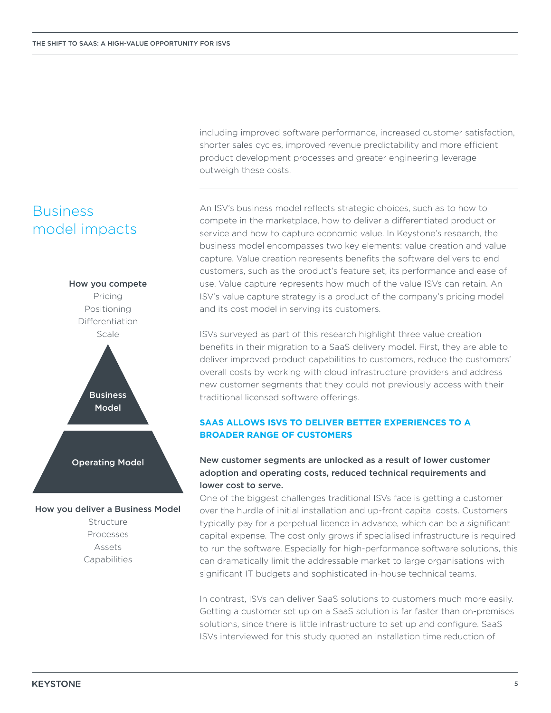including improved software performance, increased customer satisfaction, shorter sales cycles, improved revenue predictability and more efficient product development processes and greater engineering leverage outweigh these costs.

# Business model impacts



How you deliver a Business Model Structure Processes

> Assets Capabilities

An ISV's business model reflects strategic choices, such as to how to compete in the marketplace, how to deliver a differentiated product or service and how to capture economic value. In Keystone's research, the business model encompasses two key elements: value creation and value capture. Value creation represents benefits the software delivers to end customers, such as the product's feature set, its performance and ease of use. Value capture represents how much of the value ISVs can retain. An ISV's value capture strategy is a product of the company's pricing model and its cost model in serving its customers.

ISVs surveyed as part of this research highlight three value creation benefits in their migration to a SaaS delivery model. First, they are able to deliver improved product capabilities to customers, reduce the customers' overall costs by working with cloud infrastructure providers and address new customer segments that they could not previously access with their traditional licensed software offerings.

#### **SAAS ALLOWS ISVS TO DELIVER BETTER EXPERIENCES TO A BROADER RANGE OF CUSTOMERS**

#### New customer segments are unlocked as a result of lower customer adoption and operating costs, reduced technical requirements and lower cost to serve.

One of the biggest challenges traditional ISVs face is getting a customer over the hurdle of initial installation and up-front capital costs. Customers typically pay for a perpetual licence in advance, which can be a significant capital expense. The cost only grows if specialised infrastructure is required to run the software. Especially for high-performance software solutions, this can dramatically limit the addressable market to large organisations with significant IT budgets and sophisticated in-house technical teams.

In contrast, ISVs can deliver SaaS solutions to customers much more easily. Getting a customer set up on a SaaS solution is far faster than on-premises solutions, since there is little infrastructure to set up and configure. SaaS ISVs interviewed for this study quoted an installation time reduction of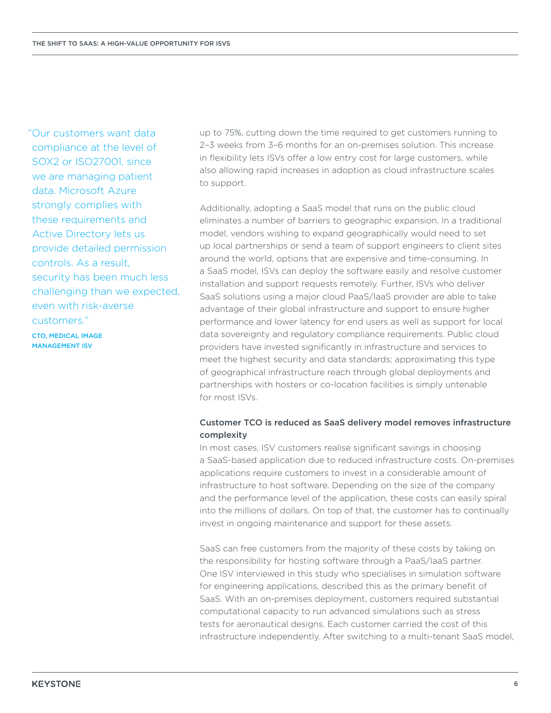"Our customers want data compliance at the level of SOX2 or ISO27001, since we are managing patient data. Microsoft Azure strongly complies with these requirements and Active Directory lets us provide detailed permission controls. As a result, security has been much less challenging than we expected, even with risk-averse customers."

CTO, MEDICAL IMAGE MANAGEMENT ISV

up to 75%, cutting down the time required to get customers running to 2–3 weeks from 3–6 months for an on-premises solution. This increase in flexibility lets ISVs offer a low entry cost for large customers, while also allowing rapid increases in adoption as cloud infrastructure scales to support.

Additionally, adopting a SaaS model that runs on the public cloud eliminates a number of barriers to geographic expansion. In a traditional model, vendors wishing to expand geographically would need to set up local partnerships or send a team of support engineers to client sites around the world, options that are expensive and time-consuming. In a SaaS model, ISVs can deploy the software easily and resolve customer installation and support requests remotely. Further, ISVs who deliver SaaS solutions using a major cloud PaaS/IaaS provider are able to take advantage of their global infrastructure and support to ensure higher performance and lower latency for end users as well as support for local data sovereignty and regulatory compliance requirements. Public cloud providers have invested significantly in infrastructure and services to meet the highest security and data standards; approximating this type of geographical infrastructure reach through global deployments and partnerships with hosters or co-location facilities is simply untenable for most ISVs.

#### Customer TCO is reduced as SaaS delivery model removes infrastructure complexity

In most cases, ISV customers realise significant savings in choosing a SaaS-based application due to reduced infrastructure costs. On-premises applications require customers to invest in a considerable amount of infrastructure to host software. Depending on the size of the company and the performance level of the application, these costs can easily spiral into the millions of dollars. On top of that, the customer has to continually invest in ongoing maintenance and support for these assets.

SaaS can free customers from the majority of these costs by taking on the responsibility for hosting software through a PaaS/IaaS partner. One ISV interviewed in this study who specialises in simulation software for engineering applications, described this as the primary benefit of SaaS. With an on-premises deployment, customers required substantial computational capacity to run advanced simulations such as stress tests for aeronautical designs. Each customer carried the cost of this infrastructure independently. After switching to a multi-tenant SaaS model,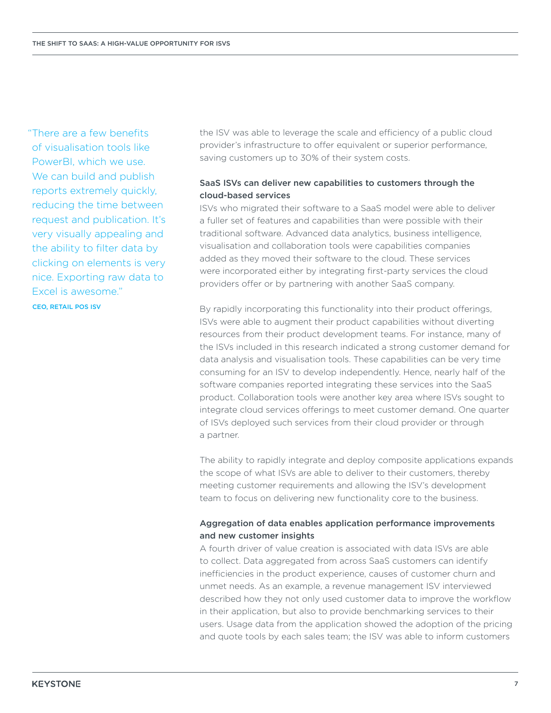"There are a few benefits of visualisation tools like PowerBI, which we use. We can build and publish reports extremely quickly, reducing the time between request and publication. It's very visually appealing and the ability to filter data by clicking on elements is very nice. Exporting raw data to Excel is awesome." CEO, RETAIL POS ISV

the ISV was able to leverage the scale and efficiency of a public cloud provider's infrastructure to offer equivalent or superior performance, saving customers up to 30% of their system costs.

#### SaaS ISVs can deliver new capabilities to customers through the cloud-based services

ISVs who migrated their software to a SaaS model were able to deliver a fuller set of features and capabilities than were possible with their traditional software. Advanced data analytics, business intelligence, visualisation and collaboration tools were capabilities companies added as they moved their software to the cloud. These services were incorporated either by integrating first-party services the cloud providers offer or by partnering with another SaaS company.

By rapidly incorporating this functionality into their product offerings, ISVs were able to augment their product capabilities without diverting resources from their product development teams. For instance, many of the ISVs included in this research indicated a strong customer demand for data analysis and visualisation tools. These capabilities can be very time consuming for an ISV to develop independently. Hence, nearly half of the software companies reported integrating these services into the SaaS product. Collaboration tools were another key area where ISVs sought to integrate cloud services offerings to meet customer demand. One quarter of ISVs deployed such services from their cloud provider or through a partner.

The ability to rapidly integrate and deploy composite applications expands the scope of what ISVs are able to deliver to their customers, thereby meeting customer requirements and allowing the ISV's development team to focus on delivering new functionality core to the business.

#### Aggregation of data enables application performance improvements and new customer insights

A fourth driver of value creation is associated with data ISVs are able to collect. Data aggregated from across SaaS customers can identify inefficiencies in the product experience, causes of customer churn and unmet needs. As an example, a revenue management ISV interviewed described how they not only used customer data to improve the workflow in their application, but also to provide benchmarking services to their users. Usage data from the application showed the adoption of the pricing and quote tools by each sales team; the ISV was able to inform customers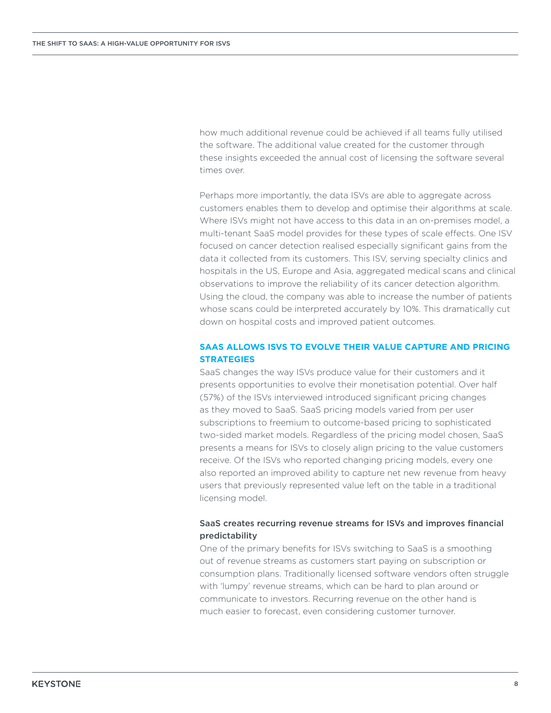how much additional revenue could be achieved if all teams fully utilised the software. The additional value created for the customer through these insights exceeded the annual cost of licensing the software several times over.

Perhaps more importantly, the data ISVs are able to aggregate across customers enables them to develop and optimise their algorithms at scale. Where ISVs might not have access to this data in an on-premises model, a multi-tenant SaaS model provides for these types of scale effects. One ISV focused on cancer detection realised especially significant gains from the data it collected from its customers. This ISV, serving specialty clinics and hospitals in the US, Europe and Asia, aggregated medical scans and clinical observations to improve the reliability of its cancer detection algorithm. Using the cloud, the company was able to increase the number of patients whose scans could be interpreted accurately by 10%. This dramatically cut down on hospital costs and improved patient outcomes.

#### **SAAS ALLOWS ISVS TO EVOLVE THEIR VALUE CAPTURE AND PRICING STRATEGIES**

SaaS changes the way ISVs produce value for their customers and it presents opportunities to evolve their monetisation potential. Over half (57%) of the ISVs interviewed introduced significant pricing changes as they moved to SaaS. SaaS pricing models varied from per user subscriptions to freemium to outcome-based pricing to sophisticated two-sided market models. Regardless of the pricing model chosen, SaaS presents a means for ISVs to closely align pricing to the value customers receive. Of the ISVs who reported changing pricing models, every one also reported an improved ability to capture net new revenue from heavy users that previously represented value left on the table in a traditional licensing model.

#### SaaS creates recurring revenue streams for ISVs and improves financial predictability

One of the primary benefits for ISVs switching to SaaS is a smoothing out of revenue streams as customers start paying on subscription or consumption plans. Traditionally licensed software vendors often struggle with 'lumpy' revenue streams, which can be hard to plan around or communicate to investors. Recurring revenue on the other hand is much easier to forecast, even considering customer turnover.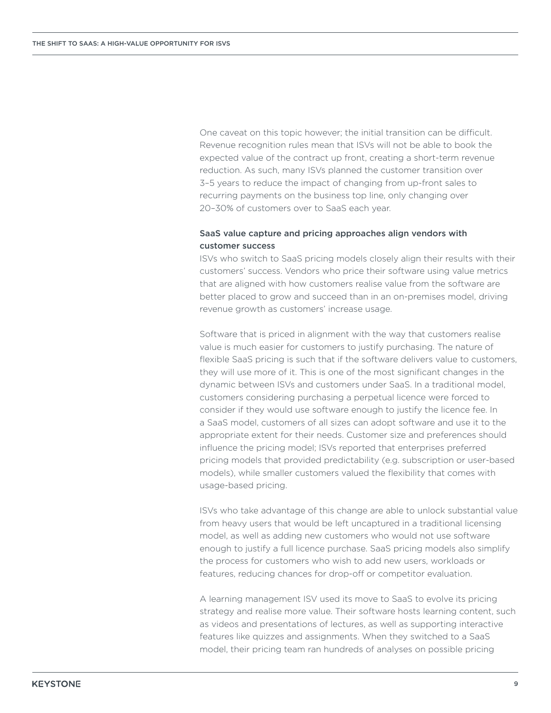One caveat on this topic however; the initial transition can be difficult. Revenue recognition rules mean that ISVs will not be able to book the expected value of the contract up front, creating a short-term revenue reduction. As such, many ISVs planned the customer transition over 3–5 years to reduce the impact of changing from up-front sales to recurring payments on the business top line, only changing over 20–30% of customers over to SaaS each year.

#### SaaS value capture and pricing approaches align vendors with customer success

ISVs who switch to SaaS pricing models closely align their results with their customers' success. Vendors who price their software using value metrics that are aligned with how customers realise value from the software are better placed to grow and succeed than in an on-premises model, driving revenue growth as customers' increase usage.

Software that is priced in alignment with the way that customers realise value is much easier for customers to justify purchasing. The nature of flexible SaaS pricing is such that if the software delivers value to customers, they will use more of it. This is one of the most significant changes in the dynamic between ISVs and customers under SaaS. In a traditional model, customers considering purchasing a perpetual licence were forced to consider if they would use software enough to justify the licence fee. In a SaaS model, customers of all sizes can adopt software and use it to the appropriate extent for their needs. Customer size and preferences should influence the pricing model; ISVs reported that enterprises preferred pricing models that provided predictability (e.g. subscription or user-based models), while smaller customers valued the flexibility that comes with usage-based pricing.

ISVs who take advantage of this change are able to unlock substantial value from heavy users that would be left uncaptured in a traditional licensing model, as well as adding new customers who would not use software enough to justify a full licence purchase. SaaS pricing models also simplify the process for customers who wish to add new users, workloads or features, reducing chances for drop-off or competitor evaluation.

A learning management ISV used its move to SaaS to evolve its pricing strategy and realise more value. Their software hosts learning content, such as videos and presentations of lectures, as well as supporting interactive features like quizzes and assignments. When they switched to a SaaS model, their pricing team ran hundreds of analyses on possible pricing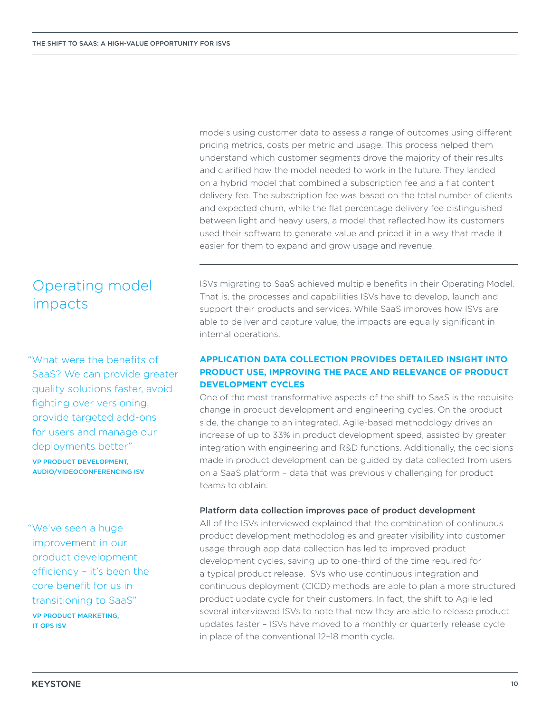Operating model impacts

"What were the benefits of SaaS? We can provide greater quality solutions faster, avoid fighting over versioning, provide targeted add-ons for users and manage our deployments better"

VP PRODUCT DEVELOPMENT, AUDIO/VIDEOCONFERENCING ISV

"We've seen a huge improvement in our product development efficiency – it's been the core benefit for us in transitioning to SaaS" VP PRODUCT MARKETING,

IT OPS ISV

models using customer data to assess a range of outcomes using different pricing metrics, costs per metric and usage. This process helped them understand which customer segments drove the majority of their results and clarified how the model needed to work in the future. They landed on a hybrid model that combined a subscription fee and a flat content delivery fee. The subscription fee was based on the total number of clients and expected churn, while the flat percentage delivery fee distinguished between light and heavy users, a model that reflected how its customers used their software to generate value and priced it in a way that made it easier for them to expand and grow usage and revenue.

ISVs migrating to SaaS achieved multiple benefits in their Operating Model. That is, the processes and capabilities ISVs have to develop, launch and support their products and services. While SaaS improves how ISVs are able to deliver and capture value, the impacts are equally significant in internal operations.

#### **APPLICATION DATA COLLECTION PROVIDES DETAILED INSIGHT INTO PRODUCT USE, IMPROVING THE PACE AND RELEVANCE OF PRODUCT DEVELOPMENT CYCLES**

One of the most transformative aspects of the shift to SaaS is the requisite change in product development and engineering cycles. On the product side, the change to an integrated, Agile-based methodology drives an increase of up to 33% in product development speed, assisted by greater integration with engineering and R&D functions. Additionally, the decisions made in product development can be guided by data collected from users on a SaaS platform – data that was previously challenging for product teams to obtain.

#### Platform data collection improves pace of product development

All of the ISVs interviewed explained that the combination of continuous product development methodologies and greater visibility into customer usage through app data collection has led to improved product development cycles, saving up to one-third of the time required for a typical product release. ISVs who use continuous integration and continuous deployment (CICD) methods are able to plan a more structured product update cycle for their customers. In fact, the shift to Agile led several interviewed ISVs to note that now they are able to release product updates faster – ISVs have moved to a monthly or quarterly release cycle in place of the conventional 12–18 month cycle.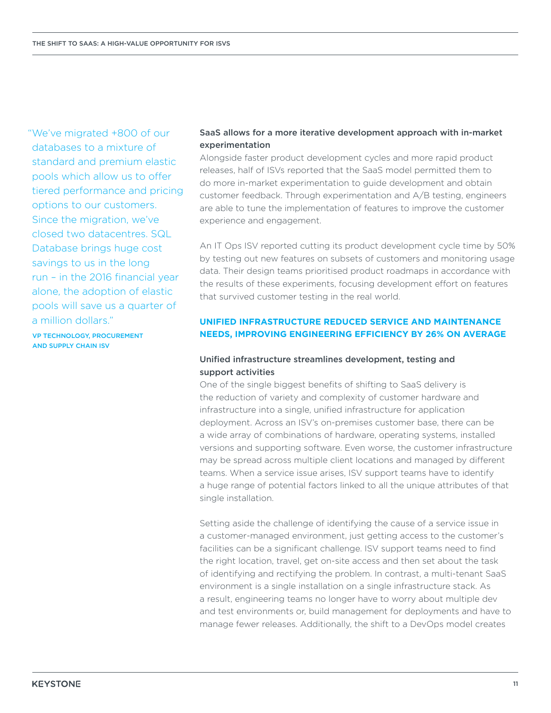"We've migrated +800 of our databases to a mixture of standard and premium elastic pools which allow us to offer tiered performance and pricing options to our customers. Since the migration, we've closed two datacentres. SQL Database brings huge cost savings to us in the long run – in the 2016 financial year alone, the adoption of elastic pools will save us a quarter of a million dollars."

VP TECHNOLOGY, PROCUREMENT AND SUPPLY CHAIN ISV

#### SaaS allows for a more iterative development approach with in-market experimentation

Alongside faster product development cycles and more rapid product releases, half of ISVs reported that the SaaS model permitted them to do more in-market experimentation to guide development and obtain customer feedback. Through experimentation and A/B testing, engineers are able to tune the implementation of features to improve the customer experience and engagement.

An IT Ops ISV reported cutting its product development cycle time by 50% by testing out new features on subsets of customers and monitoring usage data. Their design teams prioritised product roadmaps in accordance with the results of these experiments, focusing development effort on features that survived customer testing in the real world.

#### **UNIFIED INFRASTRUCTURE REDUCED SERVICE AND MAINTENANCE NEEDS, IMPROVING ENGINEERING EFFICIENCY BY 26% ON AVERAGE**

#### Unified infrastructure streamlines development, testing and support activities

One of the single biggest benefits of shifting to SaaS delivery is the reduction of variety and complexity of customer hardware and infrastructure into a single, unified infrastructure for application deployment. Across an ISV's on-premises customer base, there can be a wide array of combinations of hardware, operating systems, installed versions and supporting software. Even worse, the customer infrastructure may be spread across multiple client locations and managed by different teams. When a service issue arises, ISV support teams have to identify a huge range of potential factors linked to all the unique attributes of that single installation.

Setting aside the challenge of identifying the cause of a service issue in a customer-managed environment, just getting access to the customer's facilities can be a significant challenge. ISV support teams need to find the right location, travel, get on-site access and then set about the task of identifying and rectifying the problem. In contrast, a multi-tenant SaaS environment is a single installation on a single infrastructure stack. As a result, engineering teams no longer have to worry about multiple dev and test environments or, build management for deployments and have to manage fewer releases. Additionally, the shift to a DevOps model creates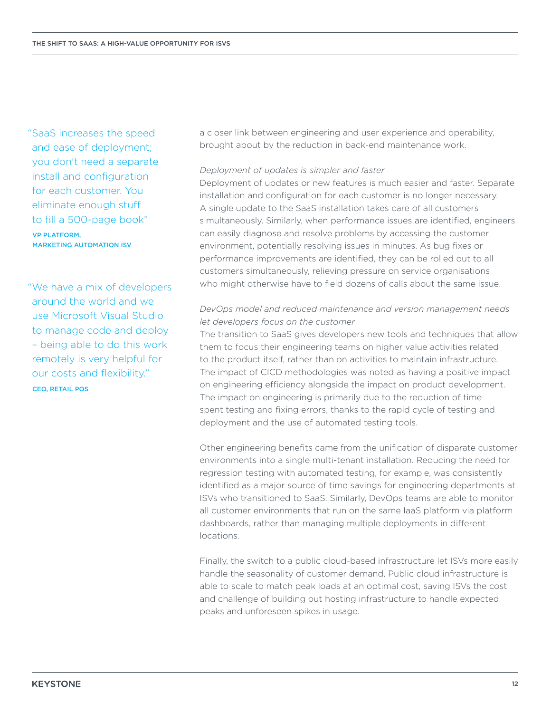"SaaS increases the speed and ease of deployment; you don't need a separate install and configuration for each customer. You eliminate enough stuff to fill a 500-page book"

VP PLATFORM, MARKETING AUTOMATION ISV

"We have a mix of developers around the world and we use Microsoft Visual Studio to manage code and deploy – being able to do this work remotely is very helpful for our costs and flexibility." CEO, RETAIL POS

a closer link between engineering and user experience and operability, brought about by the reduction in back-end maintenance work.

#### *Deployment of updates is simpler and faster*

Deployment of updates or new features is much easier and faster. Separate installation and configuration for each customer is no longer necessary. A single update to the SaaS installation takes care of all customers simultaneously. Similarly, when performance issues are identified, engineers can easily diagnose and resolve problems by accessing the customer environment, potentially resolving issues in minutes. As bug fixes or performance improvements are identified, they can be rolled out to all customers simultaneously, relieving pressure on service organisations who might otherwise have to field dozens of calls about the same issue.

#### *DevOps model and reduced maintenance and version management needs let developers focus on the customer*

The transition to SaaS gives developers new tools and techniques that allow them to focus their engineering teams on higher value activities related to the product itself, rather than on activities to maintain infrastructure. The impact of CICD methodologies was noted as having a positive impact on engineering efficiency alongside the impact on product development. The impact on engineering is primarily due to the reduction of time spent testing and fixing errors, thanks to the rapid cycle of testing and deployment and the use of automated testing tools.

Other engineering benefits came from the unification of disparate customer environments into a single multi-tenant installation. Reducing the need for regression testing with automated testing, for example, was consistently identified as a major source of time savings for engineering departments at ISVs who transitioned to SaaS. Similarly, DevOps teams are able to monitor all customer environments that run on the same IaaS platform via platform dashboards, rather than managing multiple deployments in different locations.

Finally, the switch to a public cloud-based infrastructure let ISVs more easily handle the seasonality of customer demand. Public cloud infrastructure is able to scale to match peak loads at an optimal cost, saving ISVs the cost and challenge of building out hosting infrastructure to handle expected peaks and unforeseen spikes in usage.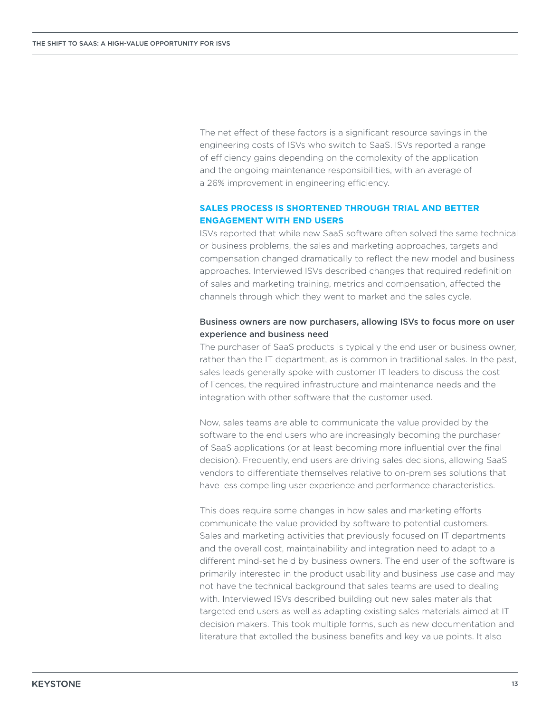The net effect of these factors is a significant resource savings in the engineering costs of ISVs who switch to SaaS. ISVs reported a range of efficiency gains depending on the complexity of the application and the ongoing maintenance responsibilities, with an average of a 26% improvement in engineering efficiency.

#### **SALES PROCESS IS SHORTENED THROUGH TRIAL AND BETTER ENGAGEMENT WITH END USERS**

ISVs reported that while new SaaS software often solved the same technical or business problems, the sales and marketing approaches, targets and compensation changed dramatically to reflect the new model and business approaches. Interviewed ISVs described changes that required redefinition of sales and marketing training, metrics and compensation, affected the channels through which they went to market and the sales cycle.

#### Business owners are now purchasers, allowing ISVs to focus more on user experience and business need

The purchaser of SaaS products is typically the end user or business owner, rather than the IT department, as is common in traditional sales. In the past, sales leads generally spoke with customer IT leaders to discuss the cost of licences, the required infrastructure and maintenance needs and the integration with other software that the customer used.

Now, sales teams are able to communicate the value provided by the software to the end users who are increasingly becoming the purchaser of SaaS applications (or at least becoming more influential over the final decision). Frequently, end users are driving sales decisions, allowing SaaS vendors to differentiate themselves relative to on-premises solutions that have less compelling user experience and performance characteristics.

This does require some changes in how sales and marketing efforts communicate the value provided by software to potential customers. Sales and marketing activities that previously focused on IT departments and the overall cost, maintainability and integration need to adapt to a different mind-set held by business owners. The end user of the software is primarily interested in the product usability and business use case and may not have the technical background that sales teams are used to dealing with. Interviewed ISVs described building out new sales materials that targeted end users as well as adapting existing sales materials aimed at IT decision makers. This took multiple forms, such as new documentation and literature that extolled the business benefits and key value points. It also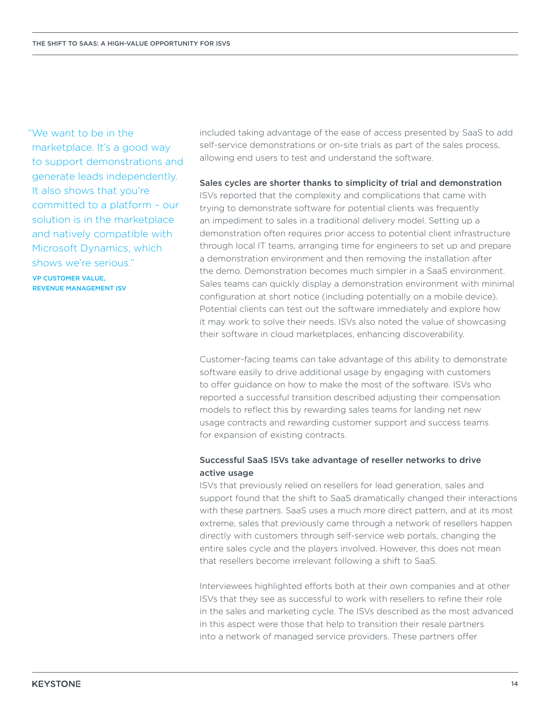"We want to be in the marketplace. It's a good way to support demonstrations and generate leads independently. It also shows that you're committed to a platform – our solution is in the marketplace and natively compatible with Microsoft Dynamics, which shows we're serious."

VP CUSTOMER VALUE, REVENUE MANAGEMENT ISV included taking advantage of the ease of access presented by SaaS to add self-service demonstrations or on-site trials as part of the sales process, allowing end users to test and understand the software.

#### Sales cycles are shorter thanks to simplicity of trial and demonstration

ISVs reported that the complexity and complications that came with trying to demonstrate software for potential clients was frequently an impediment to sales in a traditional delivery model. Setting up a demonstration often requires prior access to potential client infrastructure through local IT teams, arranging time for engineers to set up and prepare a demonstration environment and then removing the installation after the demo. Demonstration becomes much simpler in a SaaS environment. Sales teams can quickly display a demonstration environment with minimal configuration at short notice (including potentially on a mobile device). Potential clients can test out the software immediately and explore how it may work to solve their needs. ISVs also noted the value of showcasing their software in cloud marketplaces, enhancing discoverability.

Customer-facing teams can take advantage of this ability to demonstrate software easily to drive additional usage by engaging with customers to offer guidance on how to make the most of the software. ISVs who reported a successful transition described adjusting their compensation models to reflect this by rewarding sales teams for landing net new usage contracts and rewarding customer support and success teams for expansion of existing contracts.

#### Successful SaaS ISVs take advantage of reseller networks to drive active usage

ISVs that previously relied on resellers for lead generation, sales and support found that the shift to SaaS dramatically changed their interactions with these partners. SaaS uses a much more direct pattern, and at its most extreme, sales that previously came through a network of resellers happen directly with customers through self-service web portals, changing the entire sales cycle and the players involved. However, this does not mean that resellers become irrelevant following a shift to SaaS.

Interviewees highlighted efforts both at their own companies and at other ISVs that they see as successful to work with resellers to refine their role in the sales and marketing cycle. The ISVs described as the most advanced in this aspect were those that help to transition their resale partners into a network of managed service providers. These partners offer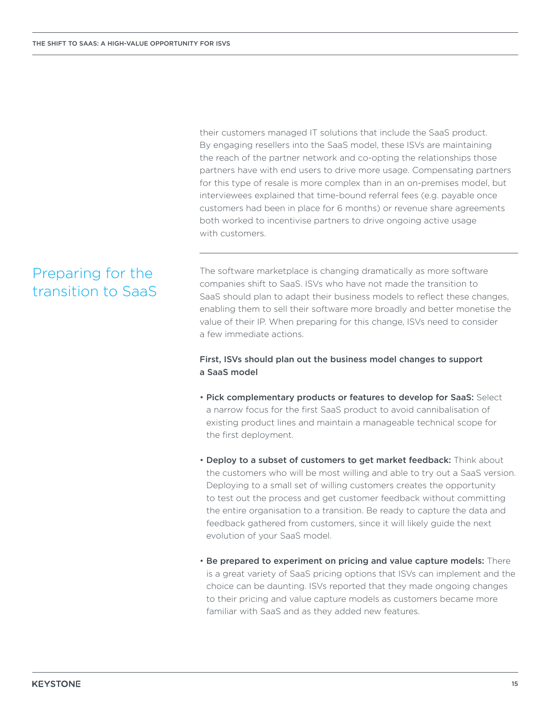their customers managed IT solutions that include the SaaS product. By engaging resellers into the SaaS model, these ISVs are maintaining the reach of the partner network and co-opting the relationships those partners have with end users to drive more usage. Compensating partners for this type of resale is more complex than in an on-premises model, but interviewees explained that time-bound referral fees (e.g. payable once customers had been in place for 6 months) or revenue share agreements both worked to incentivise partners to drive ongoing active usage with customers.

# Preparing for the transition to SaaS

The software marketplace is changing dramatically as more software companies shift to SaaS. ISVs who have not made the transition to SaaS should plan to adapt their business models to reflect these changes, enabling them to sell their software more broadly and better monetise the value of their IP. When preparing for this change, ISVs need to consider a few immediate actions.

#### First, ISVs should plan out the business model changes to support a SaaS model

- Pick complementary products or features to develop for SaaS: Select a narrow focus for the first SaaS product to avoid cannibalisation of existing product lines and maintain a manageable technical scope for the first deployment.
- Deploy to a subset of customers to get market feedback: Think about the customers who will be most willing and able to try out a SaaS version. Deploying to a small set of willing customers creates the opportunity to test out the process and get customer feedback without committing the entire organisation to a transition. Be ready to capture the data and feedback gathered from customers, since it will likely guide the next evolution of your SaaS model.
- Be prepared to experiment on pricing and value capture models: There is a great variety of SaaS pricing options that ISVs can implement and the choice can be daunting. ISVs reported that they made ongoing changes to their pricing and value capture models as customers became more familiar with SaaS and as they added new features.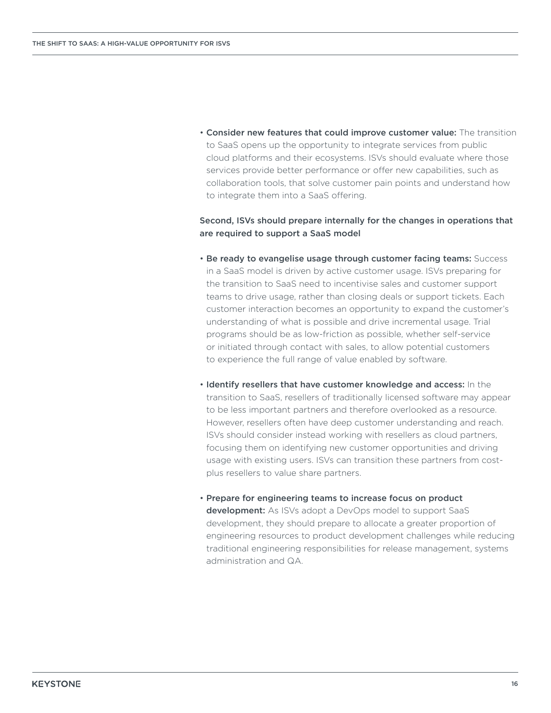• Consider new features that could improve customer value: The transition to SaaS opens up the opportunity to integrate services from public cloud platforms and their ecosystems. ISVs should evaluate where those services provide better performance or offer new capabilities, such as collaboration tools, that solve customer pain points and understand how to integrate them into a SaaS offering.

Second, ISVs should prepare internally for the changes in operations that are required to support a SaaS model

- Be ready to evangelise usage through customer facing teams: Success in a SaaS model is driven by active customer usage. ISVs preparing for the transition to SaaS need to incentivise sales and customer support teams to drive usage, rather than closing deals or support tickets. Each customer interaction becomes an opportunity to expand the customer's understanding of what is possible and drive incremental usage. Trial programs should be as low-friction as possible, whether self-service or initiated through contact with sales, to allow potential customers to experience the full range of value enabled by software.
- Identify resellers that have customer knowledge and access: In the transition to SaaS, resellers of traditionally licensed software may appear to be less important partners and therefore overlooked as a resource. However, resellers often have deep customer understanding and reach. ISVs should consider instead working with resellers as cloud partners, focusing them on identifying new customer opportunities and driving usage with existing users. ISVs can transition these partners from costplus resellers to value share partners.
- Prepare for engineering teams to increase focus on product development: As ISVs adopt a DevOps model to support SaaS development, they should prepare to allocate a greater proportion of engineering resources to product development challenges while reducing traditional engineering responsibilities for release management, systems administration and QA.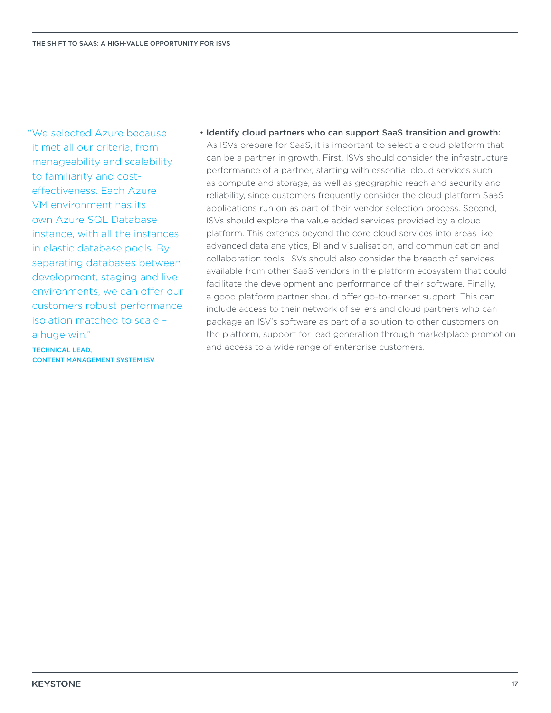"We selected Azure because it met all our criteria, from manageability and scalability to familiarity and costeffectiveness. Each Azure VM environment has its own Azure SQL Database instance, with all the instances in elastic database pools. By separating databases between development, staging and live environments, we can offer our customers robust performance isolation matched to scale – a huge win."

TECHNICAL LEAD, CONTENT MANAGEMENT SYSTEM ISV • Identify cloud partners who can support SaaS transition and growth: As ISVs prepare for SaaS, it is important to select a cloud platform that can be a partner in growth. First, ISVs should consider the infrastructure performance of a partner, starting with essential cloud services such as compute and storage, as well as geographic reach and security and reliability, since customers frequently consider the cloud platform SaaS applications run on as part of their vendor selection process. Second, ISVs should explore the value added services provided by a cloud platform. This extends beyond the core cloud services into areas like advanced data analytics, BI and visualisation, and communication and collaboration tools. ISVs should also consider the breadth of services available from other SaaS vendors in the platform ecosystem that could facilitate the development and performance of their software. Finally, a good platform partner should offer go-to-market support. This can include access to their network of sellers and cloud partners who can package an ISV's software as part of a solution to other customers on the platform, support for lead generation through marketplace promotion and access to a wide range of enterprise customers.